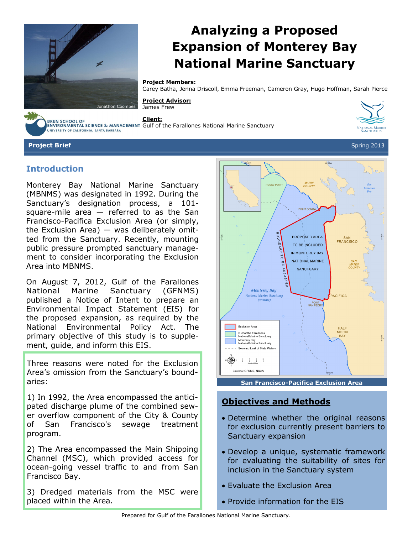

# **Analyzing a Proposed Expansion of Monterey Bay National Marine Sanctuary**

#### **Project Members:**

Carey Batha, Jenna Driscoll, Emma Freeman, Cameron Gray, Hugo Hoffman, Sarah Pierce

#### **Project Advisor:** James Frew



**Client:**

BREN SCHOOL OF<br>ENVIRONMENTAL SCIENCE & MANAGEMENT Gulf of the Farallones National Marine Sanctuary UNIVERSITY OF CALIFORNIA, SANTA BARBARA



**Project Brief** Spring 2013

#### **Introduction**

Monterey Bay National Marine Sanctuary (MBNMS) was designated in 1992. During the Sanctuary's designation process, a 101 square-mile area  $-$  referred to as the San Francisco-Pacifica Exclusion Area (or simply, the Exclusion Area) — was deliberately omitted from the Sanctuary. Recently, mounting public pressure prompted sanctuary management to consider incorporating the Exclusion Area into MBNMS.

On August 7, 2012, Gulf of the Farallones National Marine Sanctuary (GFNMS) published a Notice of Intent to prepare an Environmental Impact Statement (EIS) for the proposed expansion, as required by the National Environmental Policy Act. The primary objective of this study is to supplement, guide, and inform this EIS.

Three reasons were noted for the Exclusion Area's omission from the Sanctuary's boundaries:

1) In 1992, the Area encompassed the anticipated discharge plume of the combined sewer overflow component of the City & County of San Francisco's sewage treatment program.

2) The Area encompassed the Main Shipping Channel (MSC), which provided access for ocean-going vessel traffic to and from San Francisco Bay.

3) Dredged materials from the MSC were placed within the Area.



**San Francisco-Pacifica Exclusion Area**

### **Objectives and Methods**

- Determine whether the original reasons for exclusion currently present barriers to Sanctuary expansion
- Develop a unique, systematic framework for evaluating the suitability of sites for inclusion in the Sanctuary system
- Evaluate the Exclusion Area
- Provide information for the EIS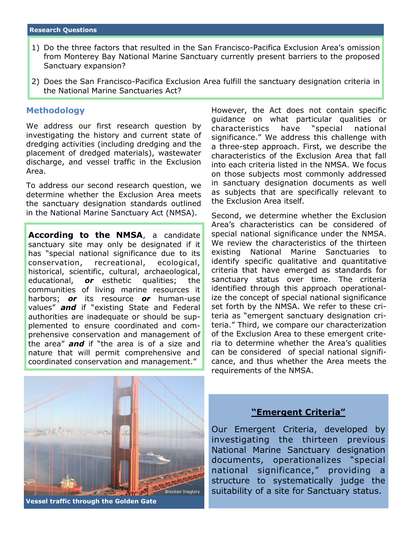- 1) Do the three factors that resulted in the San Francisco-Pacifica Exclusion Area's omission from Monterey Bay National Marine Sanctuary currently present barriers to the proposed Sanctuary expansion?
- 2) Does the San Francisco-Pacifica Exclusion Area fulfill the sanctuary designation criteria in the National Marine Sanctuaries Act?

#### **Methodology**

We address our first research question by investigating the history and current state of dredging activities (including dredging and the placement of dredged materials), wastewater discharge, and vessel traffic in the Exclusion Area.

To address our second research question, we determine whether the Exclusion Area meets the sanctuary designation standards outlined in the National Marine Sanctuary Act (NMSA).

**According to the NMSA**, a candidate sanctuary site may only be designated if it has "special national significance due to its conservation, recreational, ecological, historical, scientific, cultural, archaeological, educational, *or* esthetic qualities; the communities of living marine resources it harbors; *or* its resource *or* human-use values" *and* if "existing State and Federal authorities are inadequate or should be supplemented to ensure coordinated and comprehensive conservation and management of the area" *and* if "the area is of a size and nature that will permit comprehensive and coordinated conservation and management."

However, the Act does not contain specific guidance on what particular qualities or characteristics have "special national significance." We address this challenge with a three-step approach. First, we describe the characteristics of the Exclusion Area that fall into each criteria listed in the NMSA. We focus on those subjects most commonly addressed in sanctuary designation documents as well as subjects that are specifically relevant to the Exclusion Area itself.

Second, we determine whether the Exclusion Area's characteristics can be considered of special national significance under the NMSA. We review the characteristics of the thirteen existing National Marine Sanctuaries to identify specific qualitative and quantitative criteria that have emerged as standards for sanctuary status over time. The criteria identified through this approach operationalize the concept of special national significance set forth by the NMSA. We refer to these criteria as "emergent sanctuary designation criteria." Third, we compare our characterization of the Exclusion Area to these emergent criteria to determine whether the Area's qualities can be considered of special national significance, and thus whether the Area meets the requirements of the NMSA.



**Vessel traffic through the Golden Gate**

#### **"Emergent Criteria"**

Our Emergent Criteria, developed by investigating the thirteen previous National Marine Sanctuary designation documents, operationalizes "special national significance," providing a structure to systematically judge the suitability of a site for Sanctuary status.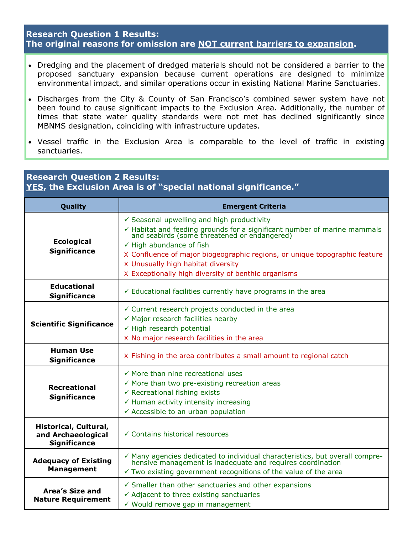## **Research Question 1 Results: The original reasons for omission are NOT current barriers to expansion.**

- Dredging and the placement of dredged materials should not be considered a barrier to the proposed sanctuary expansion because current operations are designed to minimize environmental impact, and similar operations occur in existing National Marine Sanctuaries.
- Discharges from the City & County of San Francisco's combined sewer system have not been found to cause significant impacts to the Exclusion Area. Additionally, the number of times that state water quality standards were not met has declined significantly since MBNMS designation, coinciding with infrastructure updates.
- Vessel traffic in the Exclusion Area is comparable to the level of traffic in existing sanctuaries.

| <b>Research Question 2 Results:</b><br><b>YES, the Exclusion Area is of "special national significance."</b> |                                                                                                                                                                                                                                                                                                                                                                                                             |
|--------------------------------------------------------------------------------------------------------------|-------------------------------------------------------------------------------------------------------------------------------------------------------------------------------------------------------------------------------------------------------------------------------------------------------------------------------------------------------------------------------------------------------------|
| Quality                                                                                                      | <b>Emergent Criteria</b>                                                                                                                                                                                                                                                                                                                                                                                    |
| <b>Ecological</b><br><b>Significance</b>                                                                     | $\checkmark$ Seasonal upwelling and high productivity<br>$\checkmark$ Habitat and feeding grounds for a significant number of marine mammals and seabirds (some threatened or endangered)<br>$\checkmark$ High abundance of fish<br>X Confluence of major biogeographic regions, or unique topographic feature<br>X Unusually high habitat diversity<br>X Exceptionally high diversity of benthic organisms |
| <b>Educational</b><br><b>Significance</b>                                                                    | $\checkmark$ Educational facilities currently have programs in the area                                                                                                                                                                                                                                                                                                                                     |
| <b>Scientific Significance</b>                                                                               | $\checkmark$ Current research projects conducted in the area<br>$\checkmark$ Major research facilities nearby<br>$\checkmark$ High research potential<br>X No major research facilities in the area                                                                                                                                                                                                         |
| <b>Human Use</b><br><b>Significance</b>                                                                      | X Fishing in the area contributes a small amount to regional catch                                                                                                                                                                                                                                                                                                                                          |
| <b>Recreational</b><br><b>Significance</b>                                                                   | $\checkmark$ More than nine recreational uses<br>$\checkmark$ More than two pre-existing recreation areas<br>$\checkmark$ Recreational fishing exists<br>← Human activity intensity increasing<br>← Accessible to an urban population                                                                                                                                                                       |
| Historical, Cultural,<br>and Archaeological<br><b>Significance</b>                                           | $\checkmark$ Contains historical resources                                                                                                                                                                                                                                                                                                                                                                  |
| <b>Adequacy of Existing</b><br><b>Management</b>                                                             | $\checkmark$ Many agencies dedicated to individual characteristics, but overall comprehensive management is inadequate and requires coordination<br>$\checkmark$ Two existing government recognitions of the value of the area                                                                                                                                                                              |
| Area's Size and<br><b>Nature Requirement</b>                                                                 | $\checkmark$ Smaller than other sanctuaries and other expansions<br>$\checkmark$ Adjacent to three existing sanctuaries<br>√ Would remove gap in management                                                                                                                                                                                                                                                 |